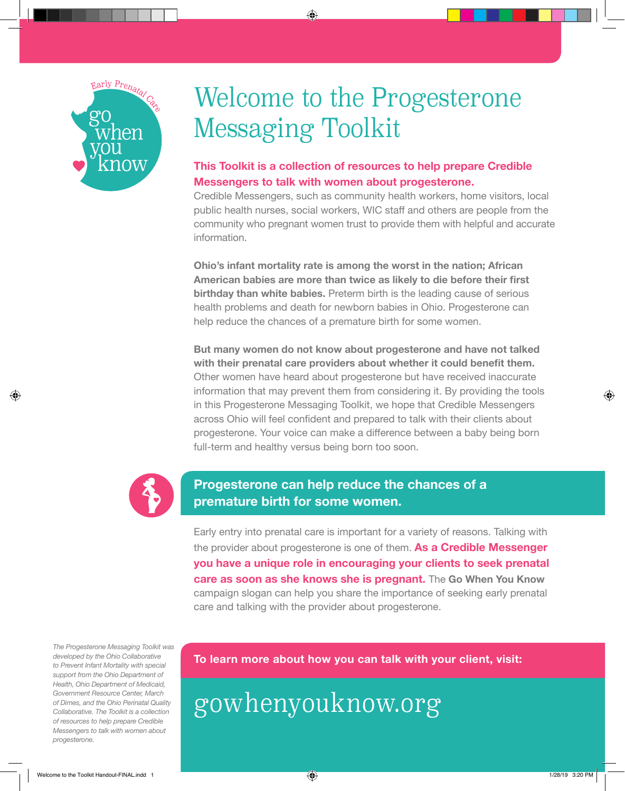

⊕

# Welcome to the Progesterone Messaging Toolkit

⊕

## **This Toolkit is a collection of resources to help prepare Credible Messengers to talk with women about progesterone.**

Credible Messengers, such as community health workers, home visitors, local public health nurses, social workers, WIC staff and others are people from the community who pregnant women trust to provide them with helpful and accurate information.

**Ohio's infant mortality rate is among the worst in the nation; African American babies are more than twice as likely to die before their first birthday than white babies.** Preterm birth is the leading cause of serious health problems and death for newborn babies in Ohio. Progesterone can help reduce the chances of a premature birth for some women.

**But many women do not know about progesterone and have not talked with their prenatal care providers about whether it could benefit them.**  Other women have heard about progesterone but have received inaccurate information that may prevent them from considering it. By providing the tools in this Progesterone Messaging Toolkit, we hope that Credible Messengers across Ohio will feel confident and prepared to talk with their clients about progesterone. Your voice can make a difference between a baby being born full-term and healthy versus being born too soon.



## **Progesterone can help reduce the chances of a premature birth for some women.**

Early entry into prenatal care is important for a variety of reasons. Talking with the provider about progesterone is one of them. **As a Credible Messenger you have a unique role in encouraging your clients to seek prenatal care as soon as she knows she is pregnant.** The **Go When You Know**  campaign slogan can help you share the importance of seeking early prenatal care and talking with the provider about progesterone.

*The Progesterone Messaging Toolkit was developed by the Ohio Collaborative to Prevent Infant Mortality with special support from the Ohio Department of Health, Ohio Department of Medicaid, Government Resource Center, March of Dimes, and the Ohio Perinatal Quality Collaborative. The Toolkit is a collection of resources to help prepare Credible Messengers to talk with women about progesterone.*

**To learn more about how you can talk with your client, visit:** 

gowhenyouknow.org

↔